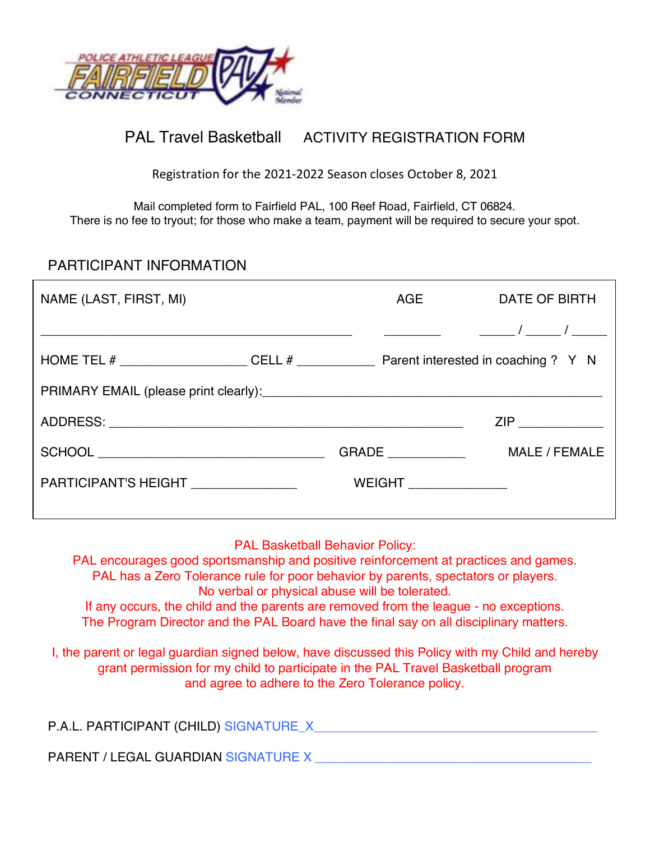

# PAL Travel Basketball ACTIVITY REGISTRATION FORM

Registration for the 2021-2022 Season closes October 8, 2021

Mail completed form to Fairfield PAL, 100 Reef Road, Fairfield, CT 06824. There is no fee to tryout; for those who make a team, payment will be required to secure your spot.

#### PARTICIPANT INFORMATION

| NAME (LAST, FIRST, MI) | AGE                                                                                                                  | <b>DATE OF BIRTH</b>                                                                                                                                                                                                           |
|------------------------|----------------------------------------------------------------------------------------------------------------------|--------------------------------------------------------------------------------------------------------------------------------------------------------------------------------------------------------------------------------|
|                        | <u> 1990 - Johann John Stein, markin samti samti samti samti samti samti samti samti samti samti samti samti sam</u> |                                                                                                                                                                                                                                |
|                        |                                                                                                                      |                                                                                                                                                                                                                                |
|                        |                                                                                                                      |                                                                                                                                                                                                                                |
|                        |                                                                                                                      | ZIP And a series of the series of the series of the series of the series of the series of the series of the series of the series of the series of the series of the series of the series of the series of the series of the se |
|                        | <b>GRADE</b>                                                                                                         | MALE / FEMALE                                                                                                                                                                                                                  |
| PARTICIPANT'S HEIGHT   | WEIGHT _______________                                                                                               |                                                                                                                                                                                                                                |
|                        |                                                                                                                      |                                                                                                                                                                                                                                |

#### PAL Basketball Behavior Policy:

PAL encourages good sportsmanship and positive reinforcement at practices and games. PAL has a Zero Tolerance rule for poor behavior by parents, spectators or players. No verbal or physical abuse will be tolerated.

If any occurs, the child and the parents are removed from the league - no exceptions. The Program Director and the PAL Board have the final say on all disciplinary matters.

I, the parent or legal guardian signed below, have discussed this Policy with my Child and hereby grant permission for my child to participate in the PAL Travel Basketball program and agree to adhere to the Zero Tolerance policy.

| P.A.L. PARTICIPANT (CHILD) SIGNATURE_X |  |
|----------------------------------------|--|
|                                        |  |

PARENT / LEGAL GUARDIAN SIGNATURE X \_\_\_\_\_\_\_\_\_\_\_\_\_\_\_\_\_\_\_\_\_\_\_\_\_\_\_\_\_\_\_\_\_\_\_\_\_\_\_